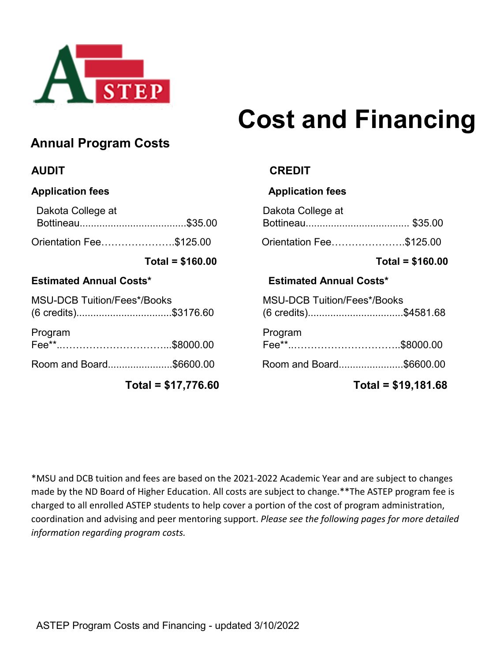

# **Cost and Financing**

# **Annual Program Costs**

| Dakota College at       | Dakota College at       |  |
|-------------------------|-------------------------|--|
|                         |                         |  |
| Orientation Fee\$125.00 | Orientation Fee\$125.00 |  |

## **Estimated Annual Costs\* Estimated Annual Costs\***

| <b>MSU-DCB Tuition/Fees*/Books</b> |  | <b>MSU-DCB Tuition/Fees*/Books</b> |  |  |
|------------------------------------|--|------------------------------------|--|--|
| (6 credits)\$3176.60               |  | (6 credits)\$4581.68               |  |  |
| Program                            |  | Program                            |  |  |
|                                    |  |                                    |  |  |
| Room and Board\$6600.00            |  | Room and Board\$6600.00            |  |  |

**Total = \$17,776.60 Total = \$19,181.68**

## **AUDIT CREDIT**

## Application fees **Application fees Application fees**

| Dakota College at              |  |
|--------------------------------|--|
|                                |  |
| Orientation Fee…………………\$125.00 |  |

## **Total = \$160.00 Total = \$160.00**

| <b>MSU-DCB Tuition/Fees*/Books</b><br>(6 credits)\$4581.68 |  |
|------------------------------------------------------------|--|
| Program                                                    |  |
| Room and Board\$6600.00                                    |  |

\*MSU and DCB tuition and fees are based on the 2021-2022 Academic Year and are subject to changes made by the ND Board of Higher Education. All costs are subject to change.\*\*The ASTEP program fee is charged to all enrolled ASTEP students to help cover a portion of the cost of program administration, coordination and advising and peer mentoring support. *Please see the following pages for more detailed information regarding program costs.*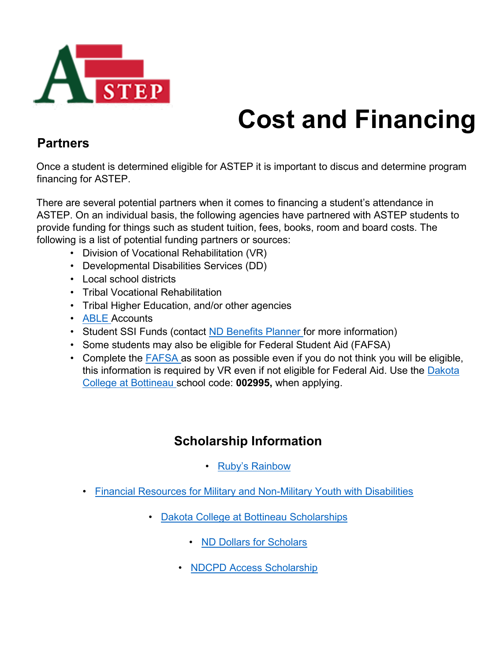

# **Cost and Financing**

## **Partners**

Once a student is determined eligible for ASTEP it is important to discus and determine program financing for ASTEP.

There are several potential partners when it comes to financing a student's attendance in ASTEP. On an individual basis, the following agencies have partnered with ASTEP students to provide funding for things such as student tuition, fees, books, room and board costs. The following is a list of potential funding partners or sources:

- Division of Vocational Rehabilitation (VR)
- Developmental Disabilities Services (DD)
- Local school districts
- Tribal Vocational Rehabilitation
- Tribal Higher Education, and/or other agencies
- [ABLE](https://bnd.nd.gov/able/) Accounts
- Student SSI Funds (contact [ND Benefits Planner fo](http://rsiminot.com/rsi-programs#social-security-benefits-project)r more information)
- Some students may also be eligible for Federal Student Aid (FAFSA)
- Complete the [FAFSA](https://studentaid.ed.gov/sa/) as soon as possible even if you do not think you will be eligible, this information is required by VR even if not eligible for Federal Aid. Use the [Dakota](https://www.dakotacollege.edu/admissions-financial-aid/apply-financial-aid)  [College at Bottineau](https://www.dakotacollege.edu/admissions-financial-aid/apply-financial-aid) school code: **002995,** when applying.

# **Scholarship Information**

- [Ruby's Rainbow](https://rubysrainbow.org/)
- [Financial Resources for Military and Non-Military Youth with Disabilities](https://branchta.org/scholarships-financial-resources-for-military-and-non-military-youth-with-disabilities/?utm_source=January%20Bugle%202019&utm_campaign=Bugle-January%202019&utm_medium=email&fbclid=IwAR0cH7MlmB_O5x7t5EJKSM9smahUGAH23hE-xEe3RTQnjqoyeuo_sY_tgrs)
	- [Dakota College at Bottineau Scholarships](https://www.dakotacollege.edu/admissions-financial-aid/scholarships)
		- [ND Dollars for Scholars](http://www.northdakota.dollarsforscholars.org/index.php?section=chapterWebsite&action=main&fwID=788)
		- [NDCPD Access Scholarship](https://www.ndcpd.org/access-scholarship.html)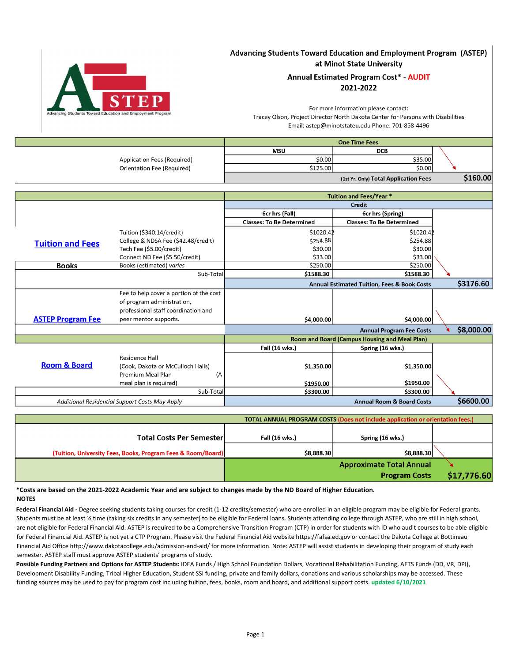

## Advancing Students Toward Education and Employment Program (ASTEP) at Minot State University

### **Annual Estimated Program Cost\* - AUDIT** 2021-2022

For more information please contact: Tracey Olson, Project Director North Dakota Center for Persons with Disabilities Email: astep@minotstateu.edu Phone: 701-858-4496

| <b>One Time Fees</b> |                                       |          |                             |
|----------------------|---------------------------------------|----------|-----------------------------|
|                      | <b>DCB</b>                            | MSU      |                             |
|                      | \$35.00                               | \$0.00   | Application Fees (Required) |
|                      | \$0.00                                | \$125.00 | Orientation Fee (Required)  |
| \$160.00             | (1st Yr. Only) Total Application Fees |          |                             |

|                          |                                         | Tuition and Fees/Year *                              |                                                        |  |            |
|--------------------------|-----------------------------------------|------------------------------------------------------|--------------------------------------------------------|--|------------|
|                          | Credit                                  |                                                      |                                                        |  |            |
|                          |                                         | 6cr hrs (Fall)                                       | 6cr hrs (Spring)                                       |  |            |
|                          |                                         | <b>Classes: To Be Determined</b>                     | <b>Classes: To Be Determined</b>                       |  |            |
|                          | Tuition (\$340.14/credit)               | \$1020.42                                            | \$1020.42                                              |  |            |
| <b>Tuition and Fees</b>  | College & NDSA Fee (\$42.48/credit)     | \$254.88                                             | \$254.88                                               |  |            |
|                          | Tech Fee (\$5.00/credit)                | \$30.00                                              | \$30.00                                                |  |            |
|                          | Connect ND Fee (\$5.50/credit)          | \$33.00                                              | \$33.00                                                |  |            |
| <b>Books</b>             | Books (estimated) varies                | \$250.00                                             | \$250.00                                               |  |            |
|                          | Sub-Total                               | \$1588.30                                            | \$1588.30                                              |  |            |
|                          |                                         |                                                      | <b>Annual Estimated Tuition, Fees &amp; Book Costs</b> |  | \$3176.60  |
|                          | Fee to help cover a portion of the cost |                                                      |                                                        |  |            |
|                          | of program administration,              |                                                      |                                                        |  |            |
|                          | professional staff coordination and     |                                                      |                                                        |  |            |
| <b>ASTEP Program Fee</b> | peer mentor supports.                   | \$4,000.00]                                          | \$4,000.00                                             |  |            |
|                          |                                         |                                                      | <b>Annual Program Fee Costs</b>                        |  | \$8,000.00 |
|                          |                                         | <b>Room and Board (Campus Housing and Meal Plan)</b> |                                                        |  |            |
|                          |                                         | Fall (16 wks.)                                       | Spring (16 wks.)                                       |  |            |

|                         |                                                                          | LAII I TO MK2'I | <b>Spring (10 WKS.)</b>              |           |
|-------------------------|--------------------------------------------------------------------------|-----------------|--------------------------------------|-----------|
| <b>Room &amp; Board</b> | Residence Hall<br>(Cook, Dakota or McCulloch Halls)<br>Premium Meal Plan | \$1,350.00      | \$1,350.00                           |           |
|                         | meal plan is required)                                                   | \$1950.00       | \$1950.00                            |           |
|                         | Sub-Totall                                                               | \$3300.00       | \$3300.00                            |           |
|                         | <b>Additional Residential Support Costs May Apply</b>                    |                 | <b>Annual Room &amp; Board Costs</b> | \$6600.00 |

| TOTAL ANNUAL PROGRAM COSTS (Does not include application or orientation fees.) |                |                                 |             |
|--------------------------------------------------------------------------------|----------------|---------------------------------|-------------|
| <b>Total Costs Per Semester</b>                                                | Fall (16 wks.) | Spring (16 wks.)                |             |
| (Tuition, University Fees, Books, Program Fees & Room/Board)                   | \$8,888.30     | \$8,888.30                      |             |
|                                                                                |                | <b>Approximate Total Annual</b> |             |
|                                                                                |                | <b>Program Costs</b>            | \$17,776.60 |

### **\*Costs are based on the 2021-2022 Academic Year and are subject to changes made by the ND Board of Higher Education. NOTES**

Federal Financial Aid - Degree seeking students taking courses for credit (1-12 credits/semester) who are enrolled in an eligible program may be eligible for Federal grants. Students must be at least ½ time (taking six credits in any semester) to be eligible for Federal loans. Students attending college through ASTEP, who are still in high school, are not eligible for Federal Financial Aid. ASTEP is required to be a Comprehensive Transition Program (CTP) in order for students with ID who audit courses to be able eligible for Federal Financial Aid. ASTEP is not yet a CTP Program. Please visit the Federal Financial Aid website https://fafsa.ed.gov or contact the Dakota College at Bottineau Financial Aid Office http://www.dakotacollege.edu/admission-and-aid/ for more information. Note: ASTEP will assist students in developing their program of study each semester. ASTEP staff must approve ASTEP students' programs of study.

**Possible Funding Partners and Options for ASTEP Students:** IDEA Funds / High School Foundation Dollars, Vocational Rehabilitation Funding, AETS Funds (DD, VR, DPI), Development Disability Funding, Tribal Higher Education, Student SSI funding, private and family dollars, donations and various scholarships may be accessed. These funding sources may be used to pay for program cost including tuition, fees, books, room and board, and additional support costs. **updated 6/10/2021**